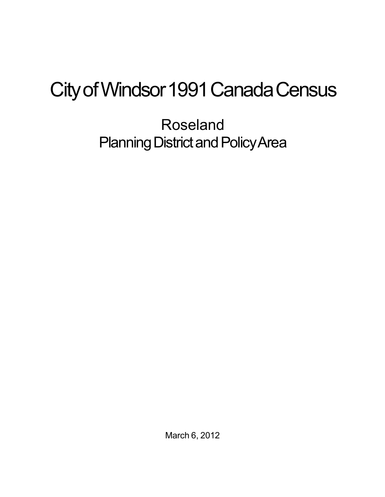## City of Windsor 1991 Canada Census

Roseland Planning District and Policy Area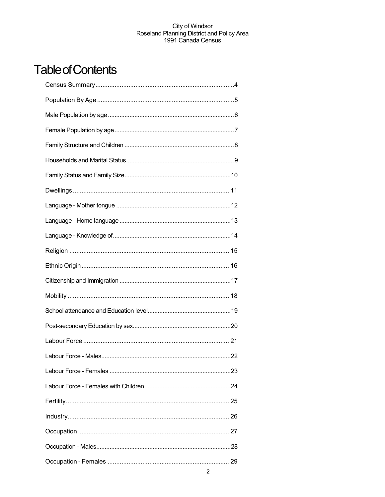## **Table of Contents**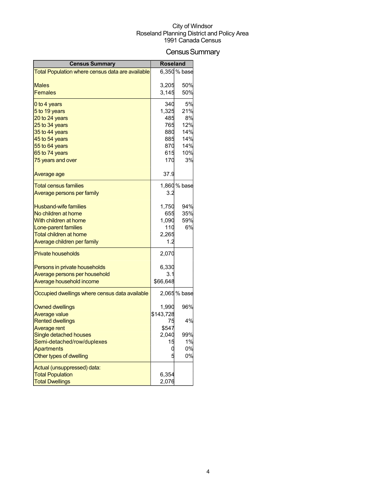## Census Summary

| <b>Census Summary</b>                            | <b>Roseland</b> |              |
|--------------------------------------------------|-----------------|--------------|
| Total Population where census data are available |                 | 6,350 % base |
|                                                  |                 |              |
| <b>Males</b>                                     | 3,205           | 50%          |
| <b>Females</b>                                   | 3,145           | 50%          |
| 0 to 4 years                                     | 340             | 5%           |
| 5 to 19 years                                    | 1,325           | 21%          |
| 20 to 24 years                                   | 485             | 8%           |
| 25 to 34 years                                   | 765             | 12%          |
| 35 to 44 years                                   | 880             | 14%          |
| 45 to 54 years                                   | 885             | 14%          |
| 55 to 64 years                                   | 870             | 14%          |
| 65 to 74 years                                   | 615<br>170      | 10%<br>3%    |
| 75 years and over                                |                 |              |
| Average age                                      | 37.9            |              |
| <b>Total census families</b>                     |                 | 1,860 % base |
| Average persons per family                       | 3.2             |              |
| <b>Husband-wife families</b>                     | 1,750           | 94%          |
| No children at home                              | 655             | 35%          |
| With children at home                            | 1,090           | 59%          |
| Lone-parent families                             | 110             | 6%           |
| Total children at home                           | 2,265           |              |
| Average children per family                      | 1.2             |              |
| <b>Private households</b>                        | 2,070           |              |
| Persons in private households                    | 6,330           |              |
| Average persons per household                    | 3.1             |              |
| Average household income                         | \$66,648        |              |
| Occupied dwellings where census data available   |                 | 2,065 % base |
| <b>Owned dwellings</b>                           | 1,990           | 96%          |
| <b>Average value</b>                             | \$143,728       |              |
| <b>Rented dwellings</b>                          | 75              | 4%           |
| Average rent                                     | \$547           |              |
| Single detached houses                           | 2,040           | 99%          |
| Semi-detached/row/duplexes                       | 15              | 1%           |
| <b>Apartments</b>                                | C               | 0%           |
| Other types of dwelling                          |                 | 0%           |
| Actual (unsuppressed) data:                      |                 |              |
| <b>Total Population</b>                          | 6,354           |              |
| <b>Total Dwellings</b>                           | 2,076           |              |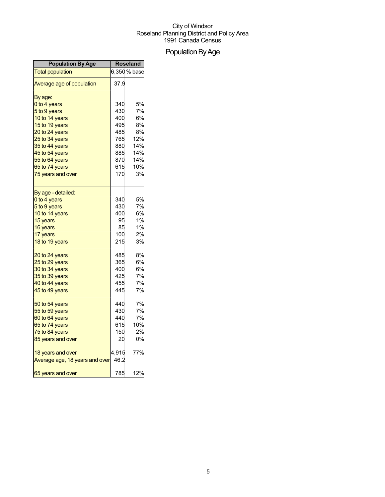## Population By Age

| <b>Population By Age</b>       |       | <b>Roseland</b> |
|--------------------------------|-------|-----------------|
| <b>Total population</b>        |       | 6,350 % base    |
| Average age of population      | 37.9  |                 |
| By age:                        |       |                 |
| 0 to 4 years                   | 340   | 5%              |
| 5 to 9 years                   | 430   | 7%              |
| 10 to 14 years                 | 400   | 6%              |
| 15 to 19 years                 | 495   | 8%              |
| 20 to 24 years                 | 485   | 8%              |
| 25 to 34 years                 | 765   | 12%             |
| 35 to 44 years                 | 880   | 14%             |
| 45 to 54 years                 | 885   | 14%             |
| 55 to 64 years                 | 870   | 14%             |
| 65 to 74 years                 | 615   | 10%             |
| 75 years and over              | 170   | 3%              |
| By age - detailed:             |       |                 |
| 0 to 4 years                   | 340   | 5%              |
| 5 to 9 years                   | 430   | 7%              |
| 10 to 14 years                 | 400   | 6%              |
| 15 years                       | 95    | 1%              |
| 16 years                       | 85    | 1%              |
| 17 years                       | 100   | 2%              |
| 18 to 19 years                 | 215   | 3%              |
| 20 to 24 years                 | 485   | 8%              |
| 25 to 29 years                 | 365   | 6%              |
| 30 to 34 years                 | 400   | 6%              |
| 35 to 39 years                 | 425   | 7%              |
| 40 to 44 years                 | 455   | 7%              |
| 45 to 49 years                 | 445   | 7%              |
| 50 to 54 years                 | 440   | 7%              |
| 55 to 59 years                 | 430   | 7%              |
| 60 to 64 years                 | 440   | 7%              |
| 65 to 74 years                 | 615   | 10%             |
| 75 to 84 years                 | 150   | 2%              |
| 85 years and over              | 20    | 0%              |
| 18 years and over              | 4,915 | 77%             |
| Average age, 18 years and over | 46.2  |                 |
| 65 years and over              | 785   | 12%             |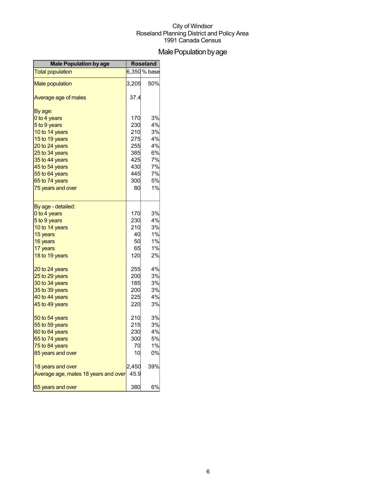## Male Population by age

| <b>Male Population by age</b>        | <b>Roseland</b> |              |
|--------------------------------------|-----------------|--------------|
| <b>Total population</b>              |                 | 6,350 % base |
| <b>Male population</b>               | 3,205           | 50%          |
| Average age of males                 | 37.4            |              |
| By age:                              |                 |              |
| 0 to 4 years                         | 170             | 3%           |
| 5 to 9 years                         | 230             | 4%           |
| 10 to 14 years                       | 210             | 3%           |
| 15 to 19 years                       | 275             | 4%           |
| 20 to 24 years                       | 255             | 4%           |
| 25 to 34 years                       | 385             | 6%           |
| 35 to 44 years                       | 425             | 7%           |
| 45 to 54 years                       | 430             | 7%           |
| 55 to 64 years                       | 445             | 7%           |
| 65 to 74 years                       | 300             | 5%<br>1%     |
| 75 years and over                    | 80              |              |
| By age - detailed:                   |                 |              |
| 0 to 4 years                         | 170             | 3%           |
| 5 to 9 years                         | 230             | 4%           |
| 10 to 14 years                       | 210             | 3%           |
| 15 years                             | 40              | 1%           |
| 16 years                             | 50              | 1%           |
| 17 years                             | 65              | $1\%$        |
| 18 to 19 years                       | 120             | 2%           |
| 20 to 24 years                       | 255             | 4%           |
| 25 to 29 years                       | 200             | 3%           |
| 30 to 34 years                       | 185             | 3%           |
| 35 to 39 years                       | 200             | 3%           |
| 40 to 44 years                       | 225             | 4%           |
| 45 to 49 years                       | 220             | 3%           |
| 50 to 54 years                       | 210             | 3%           |
| 55 to 59 years                       | 215             | 3%           |
| 60 to 64 years                       | 230             | 4%           |
| 65 to 74 years                       | 300             | 5%           |
| 75 to 84 years                       | 70              | 1%           |
| 85 years and over                    | 10              | 0%           |
| 18 years and over                    | 2,450           | 39%          |
| Average age, males 18 years and over | 45.9            |              |
| 65 years and over                    | 380             | 6%           |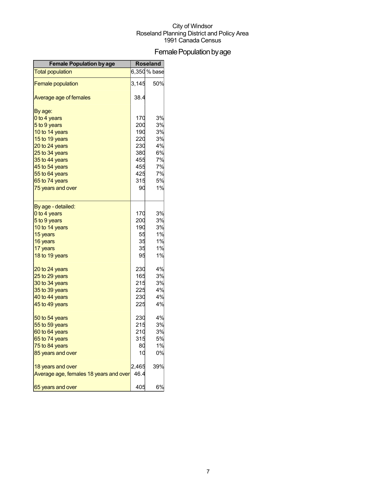## Female Population by age

| <b>Female Population by age</b>        | <b>Roseland</b> |              |
|----------------------------------------|-----------------|--------------|
| <b>Total population</b>                |                 | 6,350 % base |
| <b>Female population</b>               | 3,145           | 50%          |
| Average age of females                 | 38.4            |              |
| By age:                                |                 |              |
| 0 to 4 years                           | 170             | 3%           |
| 5 to 9 years                           | 200             | 3%           |
| 10 to 14 years                         | 190             | 3%           |
| 15 to 19 years                         | 220             | 3%           |
| 20 to 24 years                         | 230             | 4%           |
| 25 to 34 years                         | 380             | 6%           |
| 35 to 44 years                         | 455             | 7%           |
| 45 to 54 years                         | 455             | 7%           |
| 55 to 64 years                         | 425             | 7%           |
| 65 to 74 years                         | 315             | 5%           |
| 75 years and over                      | 90              | 1%           |
| By age - detailed:                     |                 |              |
| 0 to 4 years                           | 170             | 3%           |
| 5 to 9 years                           | 200             | 3%           |
| 10 to 14 years                         | 190             | 3%           |
| 15 years                               | 55              | 1%           |
| 16 years                               | 35              | 1%           |
| 17 years                               | 35              | 1%           |
| 18 to 19 years                         | 95              | 1%           |
| 20 to 24 years                         | 230             | 4%           |
| 25 to 29 years                         | 165             | 3%           |
| 30 to 34 years                         | 215             | 3%           |
| 35 to 39 years                         | 225             | 4%           |
| 40 to 44 years                         | 230             | 4%           |
| 45 to 49 years                         | 225             | 4%           |
| 50 to 54 years                         | 230             | 4%           |
| 55 to 59 years                         | 215             | 3%           |
| 60 to 64 years                         | 210             | 3%           |
| 65 to 74 years                         | 315             | 5%           |
| 75 to 84 years                         | 80              | 1%           |
| 85 years and over                      | 10              | 0%           |
| 18 years and over                      | 2,465           | 39%          |
| Average age, females 18 years and over | 46.4            |              |
| 65 years and over                      | 405             | 6%           |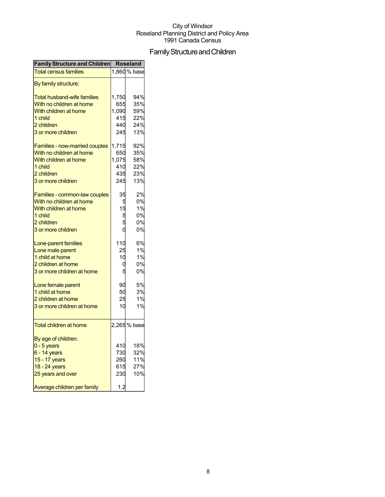## Family Structure and Children

| <b>Family Structure and Children</b>  | <b>Roseland</b> |              |
|---------------------------------------|-----------------|--------------|
| <b>Total census families</b>          |                 | 1,860 % base |
| By family structure:                  |                 |              |
| <b>Total husband-wife families</b>    | 1,750           | 94%          |
| With no children at home              | 655             | 35%          |
| With children at home                 | 1,090           | 59%          |
| 1 child                               | 415             | 22%          |
| 2 children                            | 440             | 24%          |
| 3 or more children                    | 245             | 13%          |
|                                       |                 |              |
| <b>Families - now-married couples</b> | 1,715           | 92%          |
| With no children at home              | 650             | 35%          |
| With children at home                 | 1,075           | 58%          |
| 1 child                               | 410             | 22%          |
| 2 children                            | 435             | 23%          |
| 3 or more children                    | 245             | 13%          |
| Families - common-law couples         | 35              | 2%           |
| With no children at home              | 5               | 0%           |
| With children at home                 | 15              | 1%           |
| 1 child                               | 5               | 0%           |
| 2 children                            |                 | 0%           |
| 3 or more children                    |                 | 0%           |
|                                       |                 |              |
| Lone-parent families                  | 110             | 6%           |
| Lone male parent                      | 25              | 1%           |
| 1 child at home                       | 10              | 1%           |
| 2 children at home                    | C               | 0%           |
| 3 or more children at home            |                 | 0%           |
|                                       |                 |              |
| Lone female parent                    | 90              | 5%           |
| 1 child at home                       | 50              | 3%           |
| 2 children at home                    | 25              | 1%           |
| 3 or more children at home            | 10              | 1%           |
| <b>Total children at home</b>         |                 | 2,265 % base |
|                                       |                 |              |
| By age of children:                   |                 |              |
| $0 - 5$ years                         | 410             | 18%          |
| $6 - 14$ years                        | 730             | 32%          |
| 15 - 17 years                         | 260             | 11%          |
| 18 - 24 years                         | 615             | 27%          |
| 25 years and over                     | 230             | 10%          |
| Average children per family           | 1.2             |              |
|                                       |                 |              |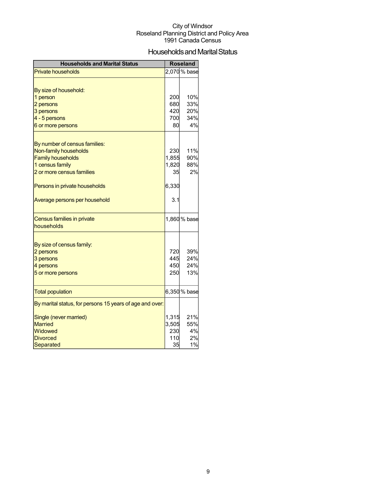## Households and Marital Status

| <b>Households and Marital Status</b>                     |       | <b>Roseland</b> |
|----------------------------------------------------------|-------|-----------------|
| <b>Private households</b>                                |       | 2,070 % base    |
|                                                          |       |                 |
| By size of household:                                    |       |                 |
| 1 person                                                 | 200   | 10%             |
| 2 persons                                                | 680   | 33%             |
| 3 persons                                                | 420   | 20%             |
| 4 - 5 persons                                            | 700   | 34%             |
| 6 or more persons                                        | 80    | 4%              |
|                                                          |       |                 |
| By number of census families:                            |       |                 |
| Non-family households                                    | 230   | 11%             |
| <b>Family households</b>                                 | 1,855 | 90%             |
| 1 census family                                          | 1,820 | 88%             |
| 2 or more census families                                | 35    | 2%              |
| Persons in private households                            | 6,330 |                 |
| Average persons per household                            | 3.1   |                 |
| Census families in private                               |       | 1,860 % base    |
| households                                               |       |                 |
|                                                          |       |                 |
| By size of census family:                                |       |                 |
| 2 persons                                                | 720   | 39%             |
| 3 persons                                                | 445   | 24%             |
| 4 persons                                                | 450   | 24%             |
| 5 or more persons                                        | 250   | 13%             |
| <b>Total population</b>                                  |       | 6,350 % base    |
| By marital status, for persons 15 years of age and over: |       |                 |
| Single (never married)                                   | 1,315 | 21%             |
| <b>Married</b>                                           | 3,505 | 55%             |
| Widowed                                                  | 230   | 4%              |
| <b>Divorced</b>                                          | 110   | 2%              |
| Separated                                                | 35    | 1%              |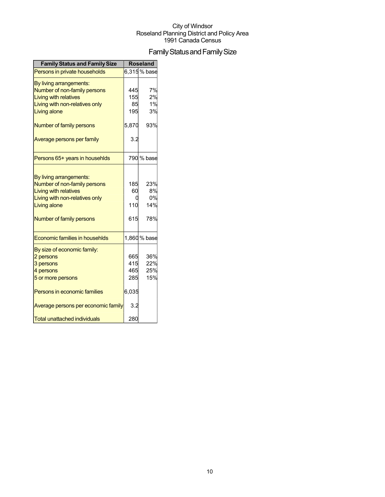## Family Status and Family Size

| <b>Family Status and Family Size</b>  |       | <b>Roseland</b> |
|---------------------------------------|-------|-----------------|
| Persons in private households         |       | 6,315% base     |
| By living arrangements:               |       |                 |
| Number of non-family persons          | 445   | 7%              |
| <b>Living with relatives</b>          | 155   | 2%              |
| Living with non-relatives only        | 85    | 1%              |
| Living alone                          | 195   | 3%              |
| Number of family persons              | 5,870 | 93%             |
| Average persons per family            | 3.2   |                 |
| Persons 65+ years in househlds        |       | 790 % base      |
|                                       |       |                 |
| By living arrangements:               |       |                 |
| Number of non-family persons          | 185   | 23%             |
| <b>Living with relatives</b>          | 60    | 8%              |
| Living with non-relatives only        |       | 0%              |
| Living alone                          | 110   | 14%             |
| Number of family persons              | 615   | 78%             |
| <b>Economic families in househlds</b> |       | 1,860 % base    |
| By size of economic family:           |       |                 |
| 2 persons                             | 665   | 36%             |
| 3 persons                             | 415   | 22%             |
| 4 persons                             | 465   | 25%             |
| 5 or more persons                     | 285   | 15%             |
| Persons in economic families          | 6,035 |                 |
| Average persons per economic family   | 3.2   |                 |
| <b>Total unattached individuals</b>   | 280   |                 |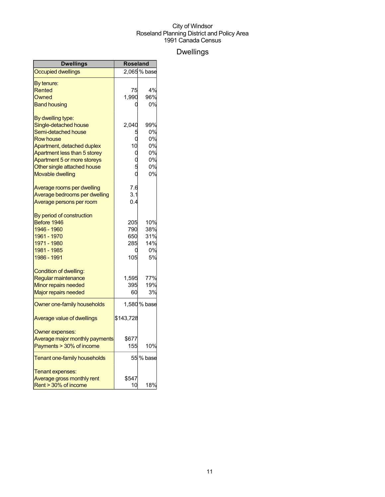## Dwellings

| <b>Dwellings</b>               | <b>Roseland</b> |              |
|--------------------------------|-----------------|--------------|
| <b>Occupied dwellings</b>      |                 | 2,065% base  |
| By tenure:                     |                 |              |
| Rented                         | 75              | 4%           |
| Owned                          | 1,990           | 96%          |
| <b>Band housing</b>            |                 | 0%           |
| By dwelling type:              |                 |              |
| Single-detached house          | 2,040           | 99%          |
| Semi-detached house            |                 | 0%           |
| <b>Row house</b>               |                 | 0%           |
| Apartment, detached duplex     | 10              | 0%           |
| Apartment less than 5 storey   | 0               | 0%           |
| Apartment 5 or more storeys    |                 | 0%           |
| Other single attached house    |                 | 0%           |
| <b>Movable dwelling</b>        |                 | 0%           |
| Average rooms per dwelling     | 7.6             |              |
| Average bedrooms per dwelling  | 3.1             |              |
| Average persons per room       | 0.4             |              |
| By period of construction      |                 |              |
| Before 1946                    | 205             | 10%          |
| 1946 - 1960                    | 790             | 38%          |
| 1961 - 1970                    | 650             | 31%          |
| 1971 - 1980                    | 285             | 14%          |
| 1981 - 1985                    | 0               | 0%           |
| 1986 - 1991                    | 105             | 5%           |
| Condition of dwelling:         |                 |              |
| Regular maintenance            | 1,595           | 77%          |
| Minor repairs needed           | 395             | 19%          |
| <b>Major repairs needed</b>    | 60              | 3%           |
| Owner one-family households    |                 | 1,580 % base |
| Average value of dwellings     | \$143,728       |              |
| Owner expenses:                |                 |              |
| Average major monthly payments | \$677           |              |
| Payments > 30% of income       | 155             | 10%          |
| Tenant one-family households   |                 | 55 % base    |
| Tenant expenses:               |                 |              |
| Average gross monthly rent     | \$547           |              |
| Rent > 30% of income           | 10              | 18%          |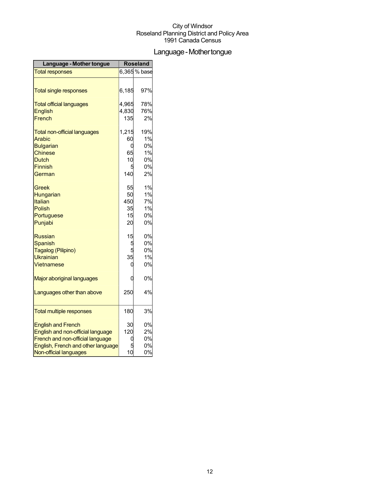## Language - Mother tongue

| Language - Mother tongue            |       | <b>Roseland</b> |
|-------------------------------------|-------|-----------------|
| <b>Total responses</b>              |       | $6,365%$ base   |
|                                     |       |                 |
| <b>Total single responses</b>       | 6,185 | 97%             |
| <b>Total official languages</b>     | 4,965 | 78%             |
| <b>English</b>                      | 4,830 | 76%             |
| French                              | 135   | 2%              |
| <b>Total non-official languages</b> | 1,215 | 19%             |
| Arabic                              | 60    | 1%              |
| <b>Bulgarian</b>                    | 0     | 0%              |
| <b>Chinese</b>                      | 65    | 1%              |
| <b>Dutch</b>                        | 10    | 0%              |
| Finnish                             | 5     | 0%              |
| German                              | 140   | 2%              |
| Greek                               | 55    | 1%              |
| Hungarian                           | 50    | 1%              |
| Italian                             | 450   | 7%              |
| <b>Polish</b>                       | 35    | 1%              |
| Portuguese                          | 15    | 0%              |
| Punjabi                             | 20    | 0%              |
| <b>Russian</b>                      | 15    | 0%              |
| <b>Spanish</b>                      | 5     | 0%              |
| Tagalog (Pilipino)                  | 5     | 0%              |
| <b>Ukrainian</b>                    | 35    | 1%              |
| Vietnamese                          | 0     | 0%              |
| Major aboriginal languages          | 0     | 0%              |
| Languages other than above          | 250   | 4%              |
| <b>Total multiple responses</b>     | 180   | 3%              |
| <b>English and French</b>           | 30    | 0%              |
| English and non-official language   | 120   | 2%              |
| French and non-official language    | 0     | 0%              |
| English, French and other language  |       | 0%              |
| Non-official languages              | 10    | 0%              |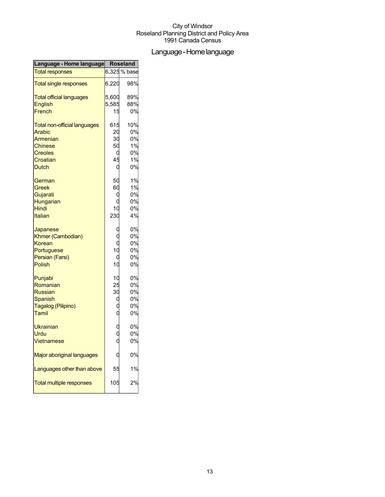## Language-Homelanguage

| Language - Home language            | <b>Roseland</b> |              |
|-------------------------------------|-----------------|--------------|
| <b>Total responses</b>              |                 | 6,325 % base |
| <b>Total single responses</b>       | 6,220           | 98%          |
| <b>Total official languages</b>     | 5,600           | 89%          |
| English                             | 5,585           | 88%          |
| French                              | 15              | 0%           |
| <b>Total non-official languages</b> | 615             | 10%          |
| <b>Arabic</b>                       | 20              | 0%           |
| Armenian                            | 30              | 0%           |
| <b>Chinese</b>                      | 50              | 1%           |
| <b>Creoles</b>                      | C               | 0%           |
| Croatian                            | 45              | 1%           |
| <b>Dutch</b>                        | C               | 0%           |
| German                              | 50              | 1%           |
| Greek                               | 60              | 1%           |
| Gujarati                            | C               | 0%           |
| Hungarian                           |                 | 0%           |
| Hindi                               | 10              | 0%           |
| Italian                             | 230             | 4%           |
| Japanese                            | C               | 0%           |
| Khmer (Cambodian)                   |                 | 0%           |
| Korean                              | C               | 0%           |
| Portuguese                          | 10              | 0%           |
| Persian (Farsi)                     | C               | 0%           |
| <b>Polish</b>                       | 10              | 0%           |
| Punjabi                             | 10              | 0%           |
| Romanian                            | 25              | 0%           |
| <b>Russian</b>                      | 30              | 0%           |
| <b>Spanish</b>                      | С               | 0%           |
| Tagalog (Pilipino)                  |                 | 0%           |
| Tamil                               |                 | 0%           |
| <b>Ukrainian</b>                    |                 | 0%           |
| Urdu                                |                 | 0%           |
| Vietnamese                          |                 | 0%           |
| Major aboriginal languages          |                 | 0%           |
| Languages other than above          | 55              | 1%           |
| <b>Total multiple responses</b>     | 105             | 2%           |
|                                     |                 |              |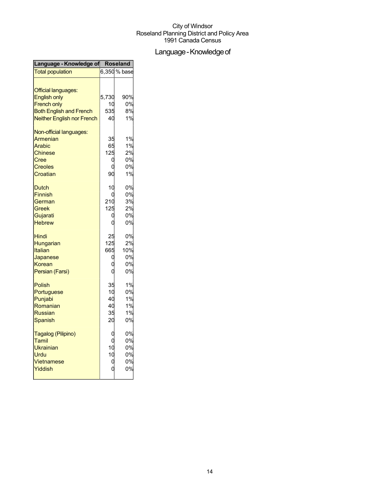## Language - Knowledge of

| Language - Knowledge of Roseland                                                                          |                                  |                                   |
|-----------------------------------------------------------------------------------------------------------|----------------------------------|-----------------------------------|
| <b>Total population</b>                                                                                   |                                  | 6,350 % base                      |
| <b>Official languages:</b><br><b>English only</b><br><b>French only</b><br><b>Both English and French</b> | 5,730<br>10<br>535               | 90%<br>0%<br>8%                   |
| Neither English nor French                                                                                | 40                               | 1%                                |
| Non-official languages:<br>Armenian<br>Arabic<br><b>Chinese</b><br>Cree<br><b>Creoles</b><br>Croatian     | 35<br>65<br>125<br>C<br>ſ<br>90  | 1%<br>1%<br>2%<br>0%<br>0%<br>1%  |
| <b>Dutch</b><br><b>Finnish</b><br>German<br>Greek<br>Gujarati<br><b>Hebrew</b>                            | 10<br>r<br>210<br>125<br>ſ<br>O  | 0%<br>0%<br>3%<br>2%<br>0%<br>0%  |
| <b>Hindi</b><br>Hungarian<br><b>Italian</b><br>Japanese<br>Korean<br>Persian (Farsi)                      | 25<br>125<br>665<br>O            | 0%<br>2%<br>10%<br>0%<br>0%<br>0% |
| Polish<br>Portuguese<br>Punjabi<br>Romanian<br><b>Russian</b><br>Spanish                                  | 35<br>10<br>40<br>40<br>35<br>20 | 1%<br>0%<br>1%<br>1%<br>1%<br>0%  |
| Tagalog (Pilipino)<br>Tamil<br><b>Ukrainian</b><br>Urdu<br>Vietnamese<br>Yiddish                          | 10<br>10<br>0                    | 0%<br>0%<br>0%<br>0%<br>0%<br>0%  |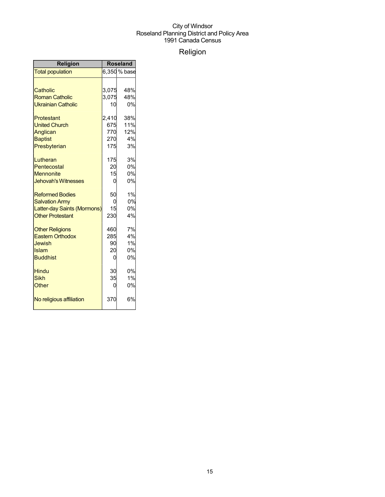## Religion

| Religion                    | <b>Roseland</b> |              |
|-----------------------------|-----------------|--------------|
| <b>Total population</b>     |                 | 6,350 % base |
|                             |                 |              |
| Catholic                    | 3,075           | 48%          |
| <b>Roman Catholic</b>       | 3,075           | 48%          |
| <b>Ukrainian Catholic</b>   | 10              | 0%           |
| Protestant                  | 2,410           | 38%          |
| <b>United Church</b>        | 675             | 11%          |
| Anglican                    | 770             | 12%          |
| <b>Baptist</b>              | 270             | 4%           |
| Presbyterian                | 175             | 3%           |
| Lutheran                    | 175             | 3%           |
| Pentecostal                 | 20              | 0%           |
| <b>Mennonite</b>            | 15              | 0%           |
| <b>Jehovah's Witnesses</b>  | 0               | 0%           |
| <b>Reformed Bodies</b>      | 50              | 1%           |
| <b>Salvation Army</b>       | 0               | 0%           |
| Latter-day Saints (Mormons) | 15              | 0%           |
| <b>Other Protestant</b>     | 230             | 4%           |
| <b>Other Religions</b>      | 460             | 7%           |
| <b>Eastern Orthodox</b>     | 285             | 4%           |
| Jewish                      | 90              | 1%           |
| Islam                       | 20              | 0%           |
| <b>Buddhist</b>             | 0               | 0%           |
| Hindu                       | 30              | 0%           |
| <b>Sikh</b>                 | 35              | 1%           |
| Other                       | 0               | 0%           |
| No religious affiliation    | 370             | 6%           |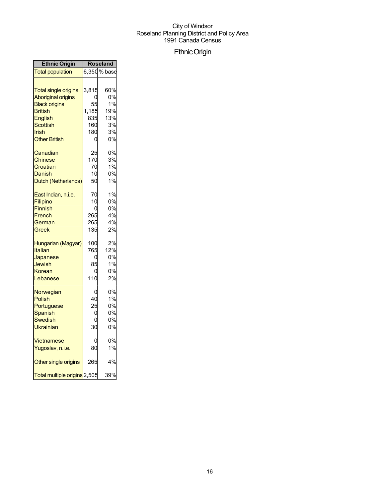## EthnicOrigin

| <b>Ethnic Origin</b>         | <b>Roseland</b> |              |
|------------------------------|-----------------|--------------|
| <b>Total population</b>      |                 | 6,350 % base |
| <b>Total single origins</b>  | 3,815           | 60%          |
| <b>Aboriginal origins</b>    | ი               | 0%           |
| <b>Black origins</b>         | 55              | 1%           |
| <b>British</b>               | 1,185           | 19%          |
| English                      | 835             | 13%          |
| Scottish                     | 160             | 3%           |
| Irish                        | 180             | 3%           |
| <b>Other British</b>         | 0               | 0%           |
| Canadian                     | 25              | 0%           |
| <b>Chinese</b>               | 170             | 3%           |
| Croatian                     | 70              | 1%           |
| Danish                       | 10              | 0%           |
| Dutch (Netherlands)          | 50              | 1%           |
| East Indian, n.i.e.          | 70              | 1%           |
| Filipino                     | 10              | 0%           |
| <b>Finnish</b>               | 0               | 0%           |
| French                       | 265             | 4%           |
| German                       | 265             | 4%           |
| Greek                        | 135             | 2%           |
| Hungarian (Magyar)           | 100             | 2%           |
| Italian                      | 765             | 12%          |
| Japanese                     | 0               | 0%           |
| Jewish                       | 85              | 1%           |
| Korean                       | 0               | 0%           |
| Lebanese                     | 110             | 2%           |
| Norwegian                    | 0               | 0%           |
| Polish                       | 40              | 1%           |
| Portuguese                   | 25              | 0%           |
| Spanish                      | 0               | 0%           |
| <b>Swedish</b>               | 0               | 0%           |
| Ukrainian                    | 30              | 0%           |
| Vietnamese                   | 0               | 0%           |
| Yugoslav, n.i.e.             | 80              | 1%           |
| Other single origins         | 265             | 4%           |
| Total multiple origins 2,505 |                 | 39%          |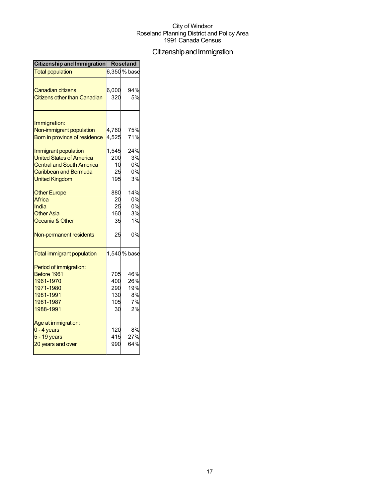## Citizenship and Immigration

| Citizenship and Immigration         | <b>Roseland</b> |              |
|-------------------------------------|-----------------|--------------|
| <b>Total population</b>             |                 | 6,350 % base |
|                                     |                 |              |
| Canadian citizens                   | 6,000           | 94%          |
| <b>Citizens other than Canadian</b> | 320             | 5%           |
| Immigration:                        |                 |              |
| Non-immigrant population            | 4,760           | 75%          |
| Born in province of residence       | 4,525           | 71%          |
|                                     |                 |              |
| Immigrant population                | 1,545           | 24%          |
| <b>United States of America</b>     | 200             | 3%           |
| <b>Central and South America</b>    | 10              | 0%           |
| Caribbean and Bermuda               | 25              | 0%           |
| <b>United Kingdom</b>               | 195             | 3%           |
| <b>Other Europe</b>                 | 880             | 14%          |
| Africa                              | 20              | 0%           |
| India                               | 25              | 0%           |
| <b>Other Asia</b>                   | 160             | 3%           |
| Oceania & Other                     | 35              | 1%           |
| Non-permanent residents             | 25              | 0%           |
| <b>Total immigrant population</b>   |                 | 1,540 % base |
| Period of immigration:              |                 |              |
| Before 1961                         | 705             | 46%          |
| 1961-1970                           | 400             | 26%          |
| 1971-1980                           | 290             | 19%          |
| 1981-1991                           | 130             | 8%           |
| 1981-1987                           | 105             | 7%           |
| 1988-1991                           | 30              | 2%           |
| Age at immigration:                 |                 |              |
| $0 - 4$ years                       | 120             | 8%           |
| 5 - 19 years                        | 415             | 27%          |
| 20 years and over                   | 990             | 64%          |
|                                     |                 |              |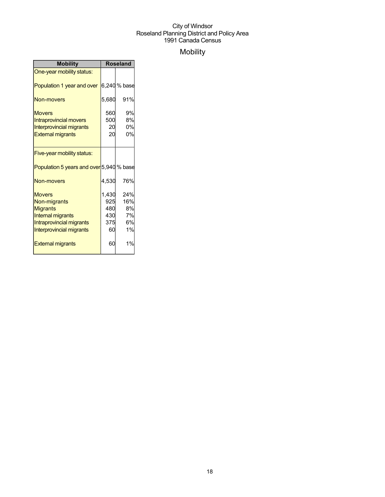## Mobility

| <b>Mobility</b>                                                                                                                      | <b>Roseland</b>                         |                                    |
|--------------------------------------------------------------------------------------------------------------------------------------|-----------------------------------------|------------------------------------|
| One-year mobility status:                                                                                                            |                                         |                                    |
| Population 1 year and over                                                                                                           |                                         | 6,240 % base                       |
| Non-movers                                                                                                                           | 5,680                                   | 91%                                |
| <b>Movers</b><br><b>Intraprovincial movers</b><br><b>Interprovincial migrants</b><br><b>External migrants</b>                        | 560<br>500<br>20<br>20                  | 9%<br>8%<br>0%<br>0%               |
| Five-year mobility status:                                                                                                           |                                         |                                    |
| Population 5 years and over 5,940 % base                                                                                             |                                         |                                    |
| Non-movers                                                                                                                           | 4,530                                   | 76%                                |
| <b>Movers</b><br>Non-migrants<br><b>Migrants</b><br><b>Internal migrants</b><br>Intraprovincial migrants<br>Interprovincial migrants | 1,430<br>925<br>480<br>430<br>375<br>60 | 24%<br>16%<br>8%<br>7%<br>6%<br>1% |
| <b>External migrants</b>                                                                                                             | 60                                      | 1%                                 |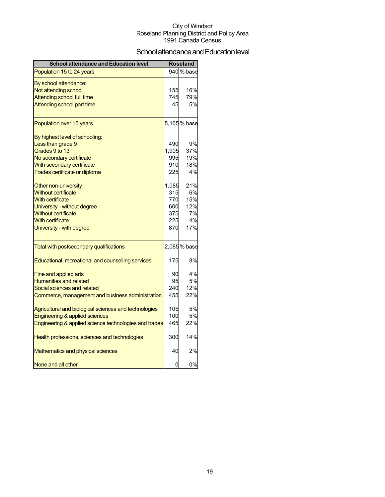## School attendance and Education level

| <b>School attendance and Education level</b>          |       | <b>Roseland</b> |
|-------------------------------------------------------|-------|-----------------|
| Population 15 to 24 years                             |       | 940 % base      |
| By school attendance:                                 |       |                 |
| Not attending school                                  | 155   | 16%             |
| <b>Attending school full time</b>                     | 745   | 79%             |
| Attending school part time                            | 45    | 5%              |
| Population over 15 years                              |       | 5,165% base     |
| By highest level of schooling:                        |       |                 |
| Less than grade 9                                     | 490   | 9%              |
| Grades 9 to 13                                        | 1,905 | 37%             |
| No secondary certificate                              | 995   | 19%             |
| With secondary certificate                            | 910   | 18%             |
| Trades certificate or diploma                         | 225   | 4%              |
| Other non-university                                  | 1,085 | 21%             |
| <b>Without certificate</b>                            | 315   | 6%              |
| With certificate                                      | 770   | 15%             |
| University - without degree                           | 600   | 12%             |
| <b>Without certificate</b>                            | 375   | 7%              |
| <b>With certificate</b>                               | 225   | 4%              |
| University - with degree                              | 870   | 17%             |
| Total with postsecondary qualifications               |       | 2,085% base     |
| Educational, recreational and counselling services    | 175   | 8%              |
| <b>Fine and applied arts</b>                          | 90    | 4%              |
| <b>Humanities and related</b>                         | 95    | 5%              |
| Social sciences and related                           | 240   | 12%             |
| Commerce, management and business administration      | 455   | 22%             |
| Agricultural and biological sciences and technologies | 105   | 5%              |
| Engineering & applied sciences                        | 100   | <b>5%</b>       |
| Engineering & applied science technologies and trades | 465   | 22%             |
| Health professions, sciences and technologies         | 300   | 14%             |
| Mathematics and physical sciences                     | 40    | 2%              |
| None and all other                                    | 0     | 0%              |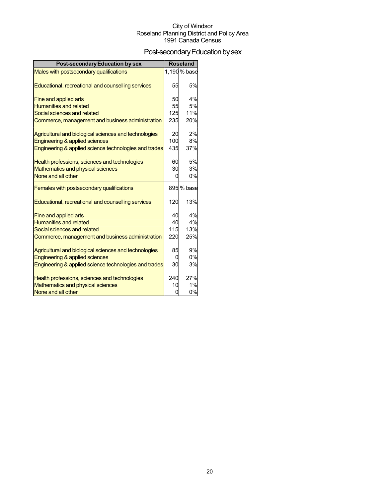## Post-secondary Education by sex

| <b>Post-secondary Education by sex</b>                |     | <b>Roseland</b> |
|-------------------------------------------------------|-----|-----------------|
| Males with postsecondary qualifications               |     | 1,190 % base    |
|                                                       |     |                 |
| Educational, recreational and counselling services    | 55  | 5%              |
| Fine and applied arts                                 | 50  | 4%              |
| <b>Humanities and related</b>                         | 55  | 5%              |
| Social sciences and related                           | 125 | 11%             |
| Commerce, management and business administration      | 235 | 20%             |
| Agricultural and biological sciences and technologies | 20  | 2%              |
| <b>Engineering &amp; applied sciences</b>             | 100 | 8%              |
| Engineering & applied science technologies and trades | 435 | 37%             |
| Health professions, sciences and technologies         | 60  | 5%              |
| Mathematics and physical sciences                     | 30  | 3%              |
| None and all other                                    | 0   | 0%              |
| Females with postsecondary qualifications             |     | 895 % base      |
|                                                       |     |                 |
| Educational, recreational and counselling services    | 120 | 13%             |
| Fine and applied arts                                 | 40  | 4%              |
| <b>Humanities and related</b>                         | 40  | 4%              |
| Social sciences and related                           | 115 | 13%             |
| Commerce, management and business administration      | 220 | 25%             |
| Agricultural and biological sciences and technologies | 85  | 9%              |
| Engineering & applied sciences                        | 0   | 0%              |
| Engineering & applied science technologies and trades | 30  | 3%              |
| Health professions, sciences and technologies         | 240 | 27%             |
| Mathematics and physical sciences                     | 10  | 1%              |
| None and all other                                    | ი   | 0%              |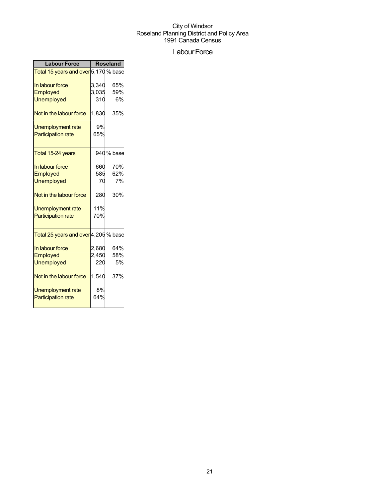### Labour Force

| <b>Labour Force</b>                  | Roseland |            |  |
|--------------------------------------|----------|------------|--|
| Total 15 years and over 5,170 % base |          |            |  |
| In labour force                      | 3,340    | 65%        |  |
| Employed                             | 3,035    | 59%        |  |
| <b>Unemployed</b>                    | 310      | 6%         |  |
| Not in the labour force              | 1,830    | 35%        |  |
| <b>Unemployment rate</b>             | 9%       |            |  |
| <b>Participation rate</b>            | 65%      |            |  |
| Total 15-24 years                    |          | 940 % base |  |
| In labour force                      | 660      | 70%        |  |
| Employed                             | 585      | 62%        |  |
| <b>Unemployed</b>                    | 70       | 7%         |  |
| Not in the labour force              | 280      | 30%        |  |
| Unemployment rate                    | 11%      |            |  |
| <b>Participation rate</b>            | 70%      |            |  |
| Total 25 years and over 4,205 % base |          |            |  |
| In labour force                      | 2,680    | 64%        |  |
| Employed                             | 2,450    | 58%        |  |
| <b>Unemployed</b>                    | 220      | 5%         |  |
| Not in the labour force              | 1,540    | 37%        |  |
| Unemployment rate                    | 8%       |            |  |
| <b>Participation rate</b>            | 64%      |            |  |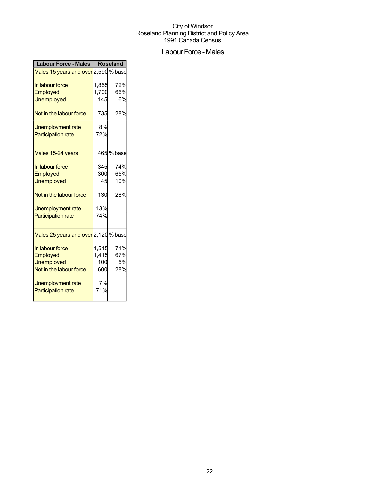## Labour Force - Males

| <b>Labour Force - Males</b>          | <b>Roseland</b> |            |
|--------------------------------------|-----------------|------------|
| Males 15 years and over 2,590 % base |                 |            |
| In labour force                      | 1,855           | 72%        |
| Employed                             | 1,700           | 66%        |
| <b>Unemployed</b>                    | 145             | 6%         |
| Not in the labour force              | 735             | 28%        |
| Unemployment rate                    | 8%              |            |
| <b>Participation rate</b>            | 72%             |            |
| Males 15-24 years                    |                 | 465 % base |
| In labour force                      | 345             | 74%        |
| Employed                             | 300             | 65%        |
| <b>Unemployed</b>                    | 45              | 10%        |
| Not in the labour force              | 130             | 28%        |
| Unemployment rate                    | 13%             |            |
| <b>Participation rate</b>            | 74%             |            |
| Males 25 years and over 2,120 % base |                 |            |
| In labour force                      | 1,515           | 71%        |
| Employed                             | 1,415           | 67%        |
| <b>Unemployed</b>                    | 100             | 5%         |
| Not in the labour force              | 600             | 28%        |
| Unemployment rate                    | 7%              |            |
| <b>Participation rate</b>            | 71%             |            |
|                                      |                 |            |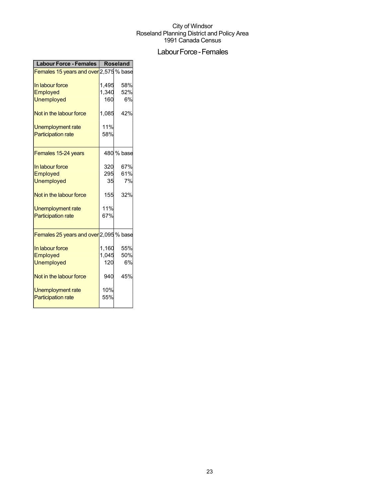## Labour Force - Females

| <b>Labour Force - Females</b>          | <b>Roseland</b> |            |
|----------------------------------------|-----------------|------------|
| Females 15 years and over 2,575 % base |                 |            |
| In labour force                        | 1.495           | 58%        |
| Employed                               | 1,340           | 52%        |
| <b>Unemployed</b>                      | 160             | 6%         |
| Not in the labour force                | 1,085           | 42%        |
| Unemployment rate                      | 11%             |            |
| <b>Participation rate</b>              | 58%             |            |
| Females 15-24 years                    |                 | 480 % base |
| In labour force                        | 320             | 67%        |
| Employed                               | 295             | 61%        |
| <b>Unemployed</b>                      | 35              | 7%         |
| Not in the labour force                | 155             | 32%        |
| Unemployment rate                      | 11%             |            |
| <b>Participation rate</b>              | 67%             |            |
| Females 25 years and over 2,095 % base |                 |            |
| In labour force                        | 1,160           | 55%        |
| Employed                               | 1,045           | 50%        |
| <b>Unemployed</b>                      | 120             | 6%         |
| Not in the labour force                | 940             | 45%        |
| Unemployment rate                      | 10%             |            |
| <b>Participation rate</b>              | 55%             |            |
|                                        |                 |            |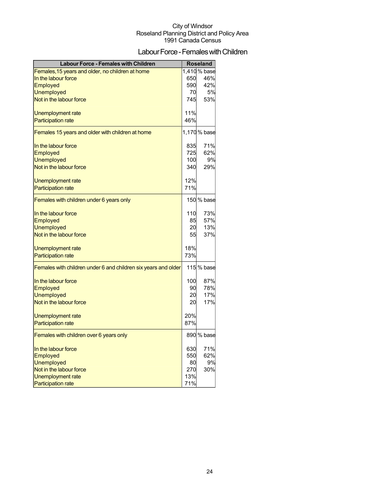## Labour Force - Females with Children

| <b>Labour Force - Females with Children</b>                    |     | Roseland     |
|----------------------------------------------------------------|-----|--------------|
| Females, 15 years and older, no children at home               |     | 1,410 % base |
| In the labour force                                            | 650 | 46%          |
| <b>Employed</b>                                                | 590 | 42%          |
| <b>Unemployed</b>                                              | 70  | 5%           |
| Not in the labour force                                        | 745 | 53%          |
| Unemployment rate                                              | 11% |              |
| <b>Participation rate</b>                                      | 46% |              |
| Females 15 years and older with children at home               |     | 1,170% base  |
|                                                                |     |              |
| In the labour force                                            | 835 | 71%          |
| Employed                                                       | 725 | 62%          |
| <b>Unemployed</b>                                              | 100 | 9%           |
| Not in the labour force                                        | 340 | 29%          |
| Unemployment rate                                              | 12% |              |
| <b>Participation rate</b>                                      | 71% |              |
| Females with children under 6 years only                       |     | 150 % base   |
| In the labour force                                            | 110 | 73%          |
| Employed                                                       | 85  | 57%          |
| <b>Unemployed</b>                                              | 20  | 13%          |
| Not in the labour force                                        | 55  | 37%          |
|                                                                |     |              |
| Unemployment rate                                              | 18% |              |
| <b>Participation rate</b>                                      | 73% |              |
| Females with children under 6 and children six years and older |     | 115 % base   |
| In the labour force                                            | 100 | 87%          |
| Employed                                                       | 90  | 78%          |
| <b>Unemployed</b>                                              | 20  | 17%          |
| Not in the labour force                                        | 20  | 17%          |
| Unemployment rate                                              | 20% |              |
| <b>Participation rate</b>                                      | 87% |              |
| Females with children over 6 years only                        |     | 890 % base   |
| In the labour force                                            | 630 | 71%          |
| Employed                                                       | 550 | 62%          |
| <b>Unemployed</b>                                              | 80  | 9%           |
| Not in the labour force                                        | 270 | 30%          |
| <b>Unemployment rate</b>                                       | 13% |              |
| <b>Participation rate</b>                                      | 71% |              |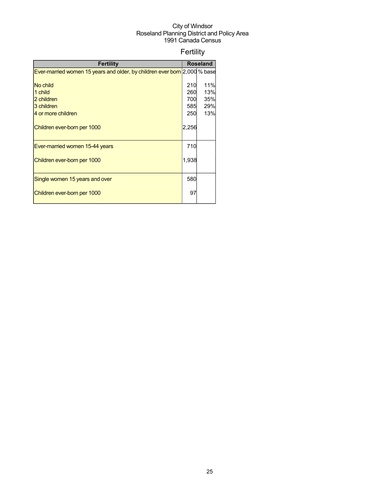## Fertility

| <b>Fertility</b>                                                          |       | <b>Roseland</b> |
|---------------------------------------------------------------------------|-------|-----------------|
| Ever-married women 15 years and older, by children ever born 2,000 % base |       |                 |
|                                                                           |       |                 |
| No child                                                                  | 210   | 11%             |
| 1 child                                                                   | 260   | 13%             |
| 2 children                                                                | 700   | 35%             |
| 3 children                                                                | 585   | 29%             |
| 4 or more children                                                        | 250   | 13%             |
| Children ever-born per 1000                                               | 2,256 |                 |
| Ever-married women 15-44 years                                            | 710   |                 |
| Children ever-born per 1000                                               | 1,938 |                 |
| Single women 15 years and over                                            | 580   |                 |
| Children ever-born per 1000                                               | 97    |                 |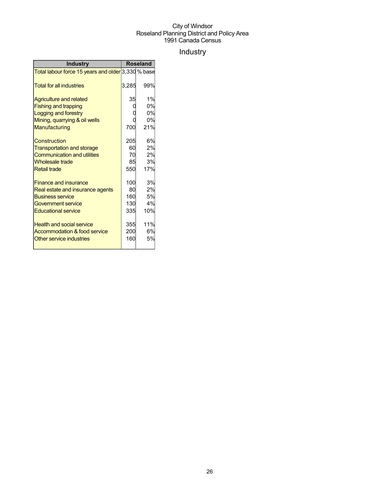## Industry

| <b>Industry</b>                                    | <b>Roseland</b> |     |
|----------------------------------------------------|-----------------|-----|
| Total labour force 15 years and older 3,330 % base |                 |     |
| <b>Total for all industries</b>                    | 3,285           | 99% |
| <b>Agriculture and related</b>                     | 35              | 1%  |
| <b>Fishing and trapping</b>                        |                 | 0%  |
| Logging and forestry                               |                 | 0%  |
| Mining, quarrying & oil wells                      |                 | 0%  |
| Manufacturing                                      | 700             | 21% |
| Construction                                       | 205             | 6%  |
| <b>Transportation and storage</b>                  | 60              | 2%  |
| <b>Communication and utilities</b>                 | 70              | 2%  |
| <b>Wholesale trade</b>                             | 85              | 3%  |
| <b>Retail trade</b>                                | 550             | 17% |
| <b>Finance and insurance</b>                       | 100             | 3%  |
| Real estate and insurance agents                   | 80              | 2%  |
| <b>Business service</b>                            | 160             | 5%  |
| Government service                                 | 130             | 4%  |
| <b>Educational service</b>                         | 335             | 10% |
| <b>Health and social service</b>                   | 355             | 11% |
| Accommodation & food service                       | 200             | 6%  |
| Other service industries                           | 160             | 5%  |
|                                                    |                 |     |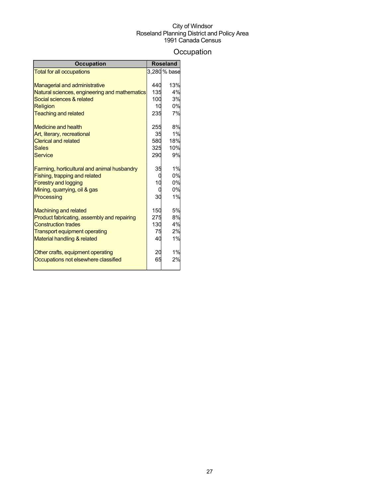## **Occupation**

| <b>Occupation</b>                             |     | <b>Roseland</b> |
|-----------------------------------------------|-----|-----------------|
| <b>Total for all occupations</b>              |     | 3,280 % base    |
|                                               |     |                 |
| <b>Managerial and administrative</b>          | 440 | 13%             |
| Natural sciences, engineering and mathematics | 135 | 4%              |
| Social sciences & related                     | 100 | 3%              |
| <b>Religion</b>                               | 10  | 0%              |
| <b>Teaching and related</b>                   | 235 | 7%              |
| <b>Medicine and health</b>                    | 255 | 8%              |
| Art, literary, recreational                   | 35  | 1%              |
| <b>Clerical and related</b>                   | 580 | 18%             |
| <b>Sales</b>                                  | 325 | 10%             |
| <b>Service</b>                                | 290 | 9%              |
| Farming, horticultural and animal husbandry   | 35  | 1%              |
| Fishing, trapping and related                 | 0   | 0%              |
| <b>Forestry and logging</b>                   | 10  | 0%              |
| Mining, quarrying, oil & gas                  | 0   | 0%              |
| Processing                                    | 30  | 1%              |
| <b>Machining and related</b>                  | 150 | 5%              |
| Product fabricating, assembly and repairing   | 275 | 8%              |
| <b>Construction trades</b>                    | 130 | 4%              |
| <b>Transport equipment operating</b>          | 75  | 2%              |
| Material handling & related                   | 40  | 1%              |
| Other crafts, equipment operating             | 20  | 1%              |
| Occupations not elsewhere classified          | 65  | 2%              |
|                                               |     |                 |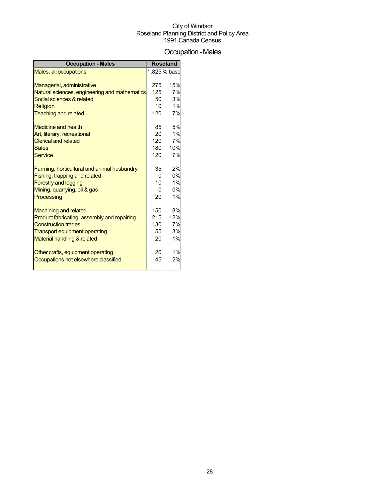## Occupation-Males

| <b>Occupation - Males</b>                     |     | <b>Roseland</b> |
|-----------------------------------------------|-----|-----------------|
| Males, all occupations                        |     | 1,825 % base    |
|                                               |     |                 |
| Managerial, administrative                    | 275 | 15%             |
| Natural sciences, engineering and mathematics | 125 | 7%              |
| Social sciences & related                     | 50  | 3%              |
| <b>Religion</b>                               | 10  | 1%              |
| <b>Teaching and related</b>                   | 120 | 7%              |
| <b>Medicine and health</b>                    | 85  | 5%              |
| Art, literary, recreational                   | 20  | 1%              |
| <b>Clerical and related</b>                   | 120 | 7%              |
| <b>Sales</b>                                  | 180 | 10%             |
| <b>Service</b>                                | 120 | 7%              |
| Farming, horticultural and animal husbandry   | 35  | 2%              |
| Fishing, trapping and related                 |     | 0%              |
| <b>Forestry and logging</b>                   | 10  | 1%              |
| Mining, quarrying, oil & gas                  |     | 0%              |
| Processing                                    | 20  | 1%              |
| <b>Machining and related</b>                  | 150 | 8%              |
| Product fabricating, assembly and repairing   | 215 | 12%             |
| <b>Construction trades</b>                    | 130 | 7%              |
| <b>Transport equipment operating</b>          | 55  | 3%              |
| Material handling & related                   | 20  | 1%              |
| Other crafts, equipment operating             | 20  | 1%              |
| Occupations not elsewhere classified          | 45  | 2%              |
|                                               |     |                 |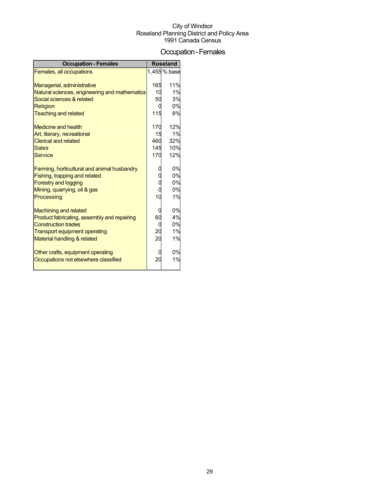## Occupation-Females

| <b>Occupation - Females</b>                   |     | <b>Roseland</b> |
|-----------------------------------------------|-----|-----------------|
| Females, all occupations                      |     | 1,455 % base    |
|                                               |     |                 |
| Managerial, administrative                    | 165 | 11%             |
| Natural sciences, engineering and mathematics | 10  | 1%              |
| Social sciences & related                     | 50  | 3%              |
| <b>Religion</b>                               | O   | 0%              |
| <b>Teaching and related</b>                   | 115 | 8%              |
| Medicine and health                           | 170 | 12%             |
| Art, literary, recreational                   | 15  | 1%              |
| <b>Clerical and related</b>                   | 460 | 32%             |
| <b>Sales</b>                                  | 145 | 10%             |
| <b>Service</b>                                | 170 | 12%             |
| Farming, horticultural and animal husbandry   |     | 0%              |
| Fishing, trapping and related                 |     | 0%              |
| <b>Forestry and logging</b>                   |     | 0%              |
| Mining, quarrying, oil & gas                  |     | 0%              |
| Processing                                    | 10  | 1%              |
| <b>Machining and related</b>                  | 0   | 0%              |
| Product fabricating, assembly and repairing   | 60  | 4%              |
| <b>Construction trades</b>                    | C   | 0%              |
| Transport equipment operating                 | 20  | 1%              |
| Material handling & related                   | 20  | 1%              |
|                                               |     |                 |
| Other crafts, equipment operating             |     | 0%              |
| Occupations not elsewhere classified          | 20  | 1%              |
|                                               |     |                 |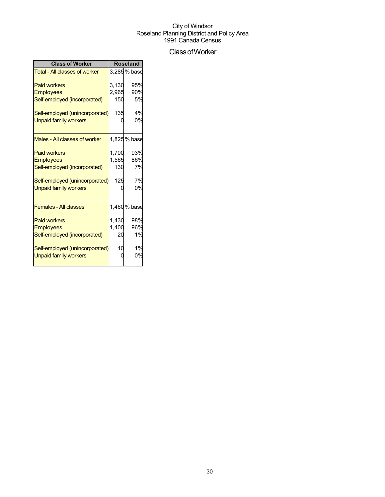## ClassofWorker

| <b>Class of Worker</b>               | <b>Roseland</b> |              |  |
|--------------------------------------|-----------------|--------------|--|
| <b>Total - All classes of worker</b> |                 | 3,285 % base |  |
| <b>Paid workers</b>                  | 3,130           | 95%          |  |
| <b>Employees</b>                     | 2,965           | 90%          |  |
| Self-employed (incorporated)         | 150             | 5%           |  |
| Self-employed (unincorporated)       | 135             | 4%           |  |
| <b>Unpaid family workers</b>         |                 | 0%           |  |
| Males - All classes of worker        |                 | 1,825 % base |  |
| <b>Paid workers</b>                  | 1,700           | 93%          |  |
| <b>Employees</b>                     | 1,565           | 86%          |  |
| Self-employed (incorporated)         | 130             | 7%           |  |
| Self-employed (unincorporated)       | 125             | 7%           |  |
| <b>Unpaid family workers</b>         |                 | 0%           |  |
| <b>Females - All classes</b>         |                 | 1,460 % base |  |
| <b>Paid workers</b>                  | 1,430           | 98%          |  |
| <b>Employees</b>                     | 1,400           | 96%          |  |
| Self-employed (incorporated)         | 20              | 1%           |  |
| Self-employed (unincorporated)       | 10              | 1%           |  |
| <b>Unpaid family workers</b>         |                 | 0%           |  |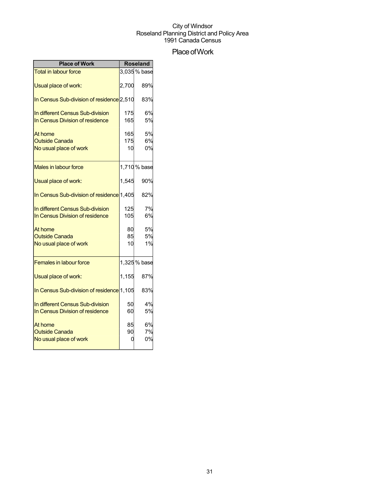## Place of Work

| <b>Place of Work</b>                                                |                  | <b>Roseland</b> |
|---------------------------------------------------------------------|------------------|-----------------|
| <b>Total in labour force</b>                                        |                  | 3,035% base     |
| Usual place of work:                                                | 2,700            | 89%             |
| In Census Sub-division of residence 2,510                           |                  | 83%             |
| In different Census Sub-division<br>In Census Division of residence | 175<br>165       | 6%<br>5%        |
| At home<br><b>Outside Canada</b><br>No usual place of work          | 165<br>175<br>10 | 5%<br>6%<br>0%  |
| Males in labour force                                               |                  | 1,710% base     |
| Usual place of work:                                                | 1,545            | 90%             |
| In Census Sub-division of residence 1,405                           |                  | 82%             |
| In different Census Sub-division<br>In Census Division of residence | 125<br>105       | 7%<br>6%        |
| At home<br><b>Outside Canada</b><br>No usual place of work          | 80<br>85<br>10   | 5%<br>5%<br>1%  |
| <b>Females in labour force</b>                                      |                  | 1,325% base     |
| Usual place of work:                                                | 1,155            | 87%             |
| In Census Sub-division of residence 1,105                           |                  | 83%             |
| In different Census Sub-division<br>In Census Division of residence | 50<br>60         | 4%<br>5%        |
| At home<br><b>Outside Canada</b><br>No usual place of work          | 85<br>90<br>0    | 6%<br>7%<br>0%  |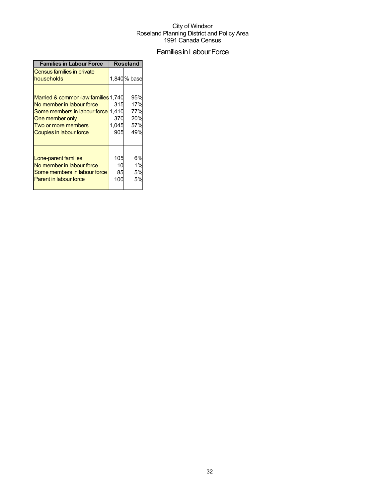## Families in Labour Force

| <b>Families in Labour Force</b>                                                                                                                                                    | <b>Roseland</b>            |                                        |  |
|------------------------------------------------------------------------------------------------------------------------------------------------------------------------------------|----------------------------|----------------------------------------|--|
| Census families in private<br>households                                                                                                                                           |                            | 1,840 % base                           |  |
| Married & common-law families 1,740<br>No member in labour force<br>Some members in labour force 1,410<br>One member only<br>Two or more members<br><b>Couples in labour force</b> | 315<br>370<br>1,045<br>905 | 95%<br>17%<br>77%<br>20%<br>57%<br>49% |  |
| Lone-parent families<br>No member in labour force<br>Some members in labour force<br><b>Parent in labour force</b>                                                                 | 105<br>10<br>85<br>100     | 6%<br>1%<br>5%<br>5%                   |  |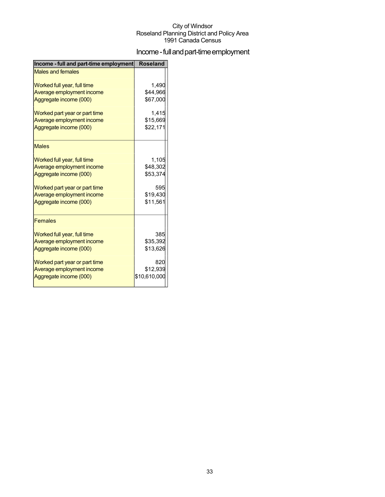## Income - full and part-time employment

| Income - full and part-time employment | <b>Roseland</b> |
|----------------------------------------|-----------------|
| <b>Males and females</b>               |                 |
| Worked full year, full time            | 1,490           |
| Average employment income              | \$44,966        |
| Aggregate income (000)                 | \$67,000        |
| Worked part year or part time          | 1.415           |
| Average employment income              | \$15,669        |
| Aggregate income (000)                 | \$22,171        |
| <b>Males</b>                           |                 |
| Worked full year, full time            | 1,105           |
| Average employment income              | \$48,302        |
| Aggregate income (000)                 | \$53,374        |
| Worked part year or part time          | 595             |
| Average employment income              | \$19,430        |
| Aggregate income (000)                 | \$11,561        |
| <b>Females</b>                         |                 |
| Worked full year, full time            | 385             |
| Average employment income              | \$35,392        |
| Aggregate income (000)                 | \$13,626        |
| Worked part year or part time          | 820             |
| Average employment income              | \$12,939        |
| Aggregate income (000)                 | \$10,610,000    |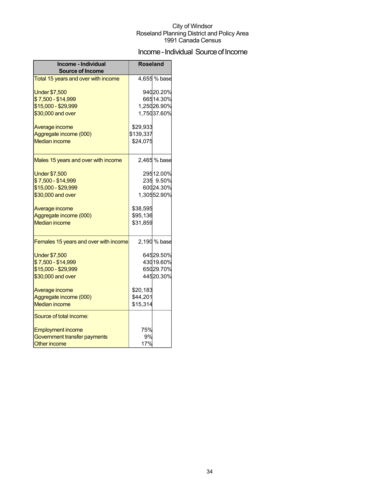## Income - Individual Source of Income

| Income - Individual<br><b>Source of Income</b> | <b>Roseland</b> |                        |
|------------------------------------------------|-----------------|------------------------|
| Total 15 years and over with income            |                 | 4,655 % base           |
| <b>Under \$7,500</b><br>\$7,500 - \$14,999     |                 | 94020.20%<br>66514.30% |
| \$15,000 - \$29,999                            |                 | 1,25026.90%            |
| \$30,000 and over                              |                 | 1,75037.60%            |
|                                                |                 |                        |
| Average income                                 | \$29,933        |                        |
| Aggregate income (000)                         | \$139,337       |                        |
| <b>Median income</b>                           | \$24,075        |                        |
| Males 15 years and over with income            |                 | 2,465 % base           |
| <b>Under \$7,500</b>                           |                 | 29512.00%              |
| \$7,500 - \$14,999                             |                 | 235 9.50%              |
| \$15,000 - \$29,999                            |                 | 60024.30%              |
| \$30,000 and over                              |                 | 1,30552.90%            |
| Average income                                 | \$38,595        |                        |
| Aggregate income (000)                         | \$95,136        |                        |
| <b>Median income</b>                           | \$31,859        |                        |
| Females 15 years and over with income          |                 | 2,190 % base           |
| <b>Under \$7,500</b>                           |                 | 64529.50%              |
| \$7,500 - \$14,999                             |                 | 43019.60%              |
| \$15,000 - \$29,999                            |                 | 65029.70%              |
| \$30,000 and over                              |                 | 44520.30%              |
| Average income                                 | \$20,183        |                        |
| Aggregate income (000)                         | \$44,201        |                        |
| <b>Median income</b>                           | \$15,314        |                        |
| Source of total income:                        |                 |                        |
| <b>Employment income</b>                       | 75%             |                        |
| Government transfer payments                   | 9%              |                        |
| <b>Other income</b>                            | 17%             |                        |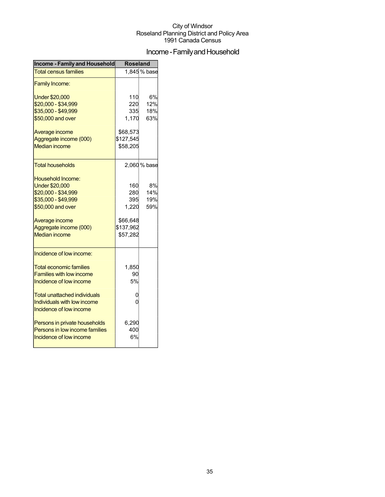## Income - Family and Household

| <b>Income - Family and Household</b>                                                                                                                                                     | <b>Roseland</b>                                                 |                         |  |
|------------------------------------------------------------------------------------------------------------------------------------------------------------------------------------------|-----------------------------------------------------------------|-------------------------|--|
| <b>Total census families</b>                                                                                                                                                             |                                                                 | 1,845% base             |  |
| <b>Family Income:</b>                                                                                                                                                                    |                                                                 |                         |  |
| <b>Under \$20,000</b><br>\$20,000 - \$34,999<br>\$35,000 - \$49,999                                                                                                                      | 110<br>220<br>335                                               | 6%<br>12%<br>18%        |  |
| \$50,000 and over                                                                                                                                                                        | 1,170                                                           | 63%                     |  |
| Average income<br>Aggregate income (000)<br><b>Median income</b>                                                                                                                         | \$68,573<br>\$127,545<br>\$58,205                               |                         |  |
| <b>Total households</b>                                                                                                                                                                  |                                                                 | 2,060 % base            |  |
| <b>Household Income:</b><br><b>Under \$20,000</b><br>\$20,000 - \$34,999<br>\$35,000 - \$49,999<br>\$50,000 and over<br>Average income<br>Aggregate income (000)<br><b>Median income</b> | 160<br>280<br>395<br>1,220<br>\$66,648<br>\$137,962<br>\$57,282 | 8%<br>14%<br>19%<br>59% |  |
| Incidence of low income:<br><b>Total economic families</b><br><b>Families with low income</b><br>Incidence of low income<br><b>Total unattached individuals</b>                          | 1,850<br>90<br>5%<br>0                                          |                         |  |
| Individuals with low income<br>Incidence of low income                                                                                                                                   | 0                                                               |                         |  |
| Persons in private households<br>Persons in low income families<br>Incidence of low income                                                                                               | 6,290<br>400<br>6%                                              |                         |  |